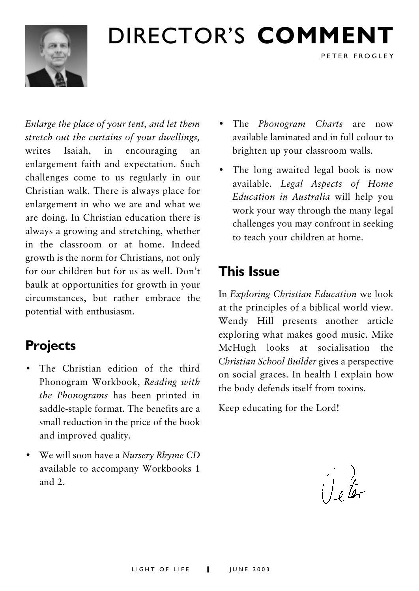

# DIRECTOR'S COMMENT

Enlarge the place of your tent, and let them stretch out the curtains of your dwellings. writes Isaiah, in encouraging an enlargement faith and expectation. Such challenges come to us regularly in our Christian walk. There is always place for enlargement in who we are and what we are doing. In Christian education there is always a growing and stretching, whether in the classroom or at home. Indeed growth is the norm for Christians, not only for our children but for us as well. Don't baulk at opportunities for growth in your circumstances, but rather embrace the potential with enthusiasm.

## **Projects**

- The Christian edition of the third Phonogram Workbook, Reading with the Phonograms has been printed in saddle-staple format. The benefits are a small reduction in the price of the book and improved quality.
- We will soon have a Nursery Rhyme CD available to accompany Workbooks 1 and  $2$ .

• The Phonogram Charts are now available laminated and in full colour to brighten up your classroom walls.

PETER FROGLEY

• The long awaited legal book is now available. Legal Aspects of Home Education in Australia will help you work your way through the many legal challenges you may confront in seeking to teach your children at home.

## **This Issue**

In Exploring Christian Education we look at the principles of a biblical world view. Wendy Hill presents another article exploring what makes good music. Mike McHugh looks at socialisation the Christian School Builder gives a perspective on social graces. In health I explain how the body defends itself from toxins.

Keep educating for the Lord!

يفدان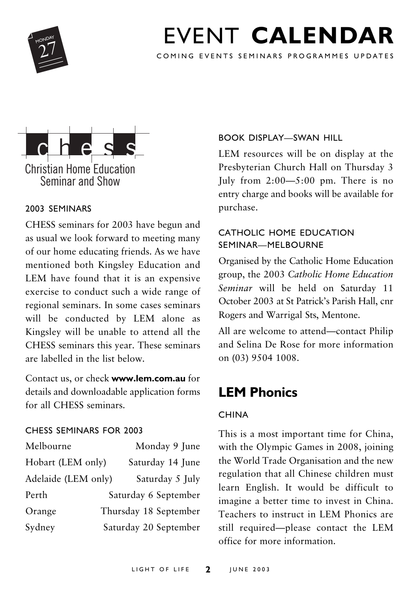

# FVENT CALENDAR

COMING EVENTS SEMINARS PROGRAMMES UPDATES



#### 2003 SEMINARS

CHESS seminars for 2003 have begun and as usual we look forward to meeting many of our home educating friends. As we have mentioned both Kingsley Education and LEM have found that it is an expensive exercise to conduct such a wide range of regional seminars. In some cases seminars will be conducted by LEM alone as Kingsley will be unable to attend all the CHESS seminars this year. These seminars are labelled in the list below

Contact us, or check www.lem.com.au for details and downloadable application forms for all CHESS seminars.

#### CHESS SEMINARS FOR 2003

| Melbourne           | Monday 9 June         |
|---------------------|-----------------------|
| Hobart (LEM only)   | Saturday 14 June      |
| Adelaide (LEM only) | Saturday 5 July       |
| Perth               | Saturday 6 September  |
| Orange              | Thursday 18 September |
| Sydney              | Saturday 20 September |

#### **BOOK DISPLAY-SWAN HILL**

LEM resources will be on display at the Presbyterian Church Hall on Thursday 3 July from  $2:00 - 5:00$  pm. There is no entry charge and books will be available for purchase.

#### CATHOLIC HOME EDUCATION SEMINAR-MEI ROURNE

Organised by the Catholic Home Education group, the 2003 Catholic Home Education Seminar will be held on Saturday 11 October 2003 at St Patrick's Parish Hall, cnr Rogers and Warrigal Sts, Mentone.

All are welcome to attend-contact Philip and Selina De Rose for more information on (03) 9504 1008.

## **LEM Phonics**

#### **CHINA**

This is a most important time for China, with the Olympic Games in 2008, joining the World Trade Organisation and the new regulation that all Chinese children must learn English. It would be difficult to imagine a better time to invest in China. Teachers to instruct in LEM Phonics are still required-please contact the LEM office for more information.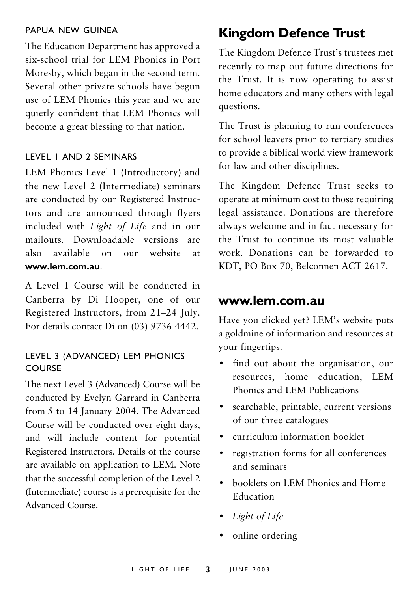#### PAPUA NFW GUINFA

The Education Department has approved a six-school trial for LEM Phonics in Port Moreshy, which began in the second term. Several other private schools have begun use of LEM Phonics this year and we are quietly confident that LEM Phonics will become a great blessing to that nation.

#### **I FVEL I AND 2 SEMINARS**

LEM Phonics Level 1 (Introductory) and the new Level 2 (Intermediate) seminars are conducted by our Registered Instructors and are announced through flyers included with *Light of Life* and in our mailouts Downloadable versions are  $aleo$ available on  $_{\text{our}}$  website <sub>at</sub> www.lem.com.au

A Level 1 Course will be conducted in Canberra by Di Hooper, one of our Registered Instructors, from 21-24 July. For details contact Di on (03) 9736 4442.

#### LEVEL 3 (ADVANCED) LEM PHONICS COURSE

The next Level 3 (Advanced) Course will be conducted by Evelyn Garrard in Canberra from 5 to 14 January 2004. The Advanced Course will be conducted over eight days, and will include content for potential Registered Instructors. Details of the course are available on application to LEM. Note that the successful completion of the Level 2 (Intermediate) course is a prerequisite for the Advanced Course.

## **Kingdom Defence Trust**

The Kingdom Defence Trust's trustees met recently to map out future directions for the Trust. It is now operating to assist home educators and many others with legal questions.

The Trust is planning to run conferences for school leavers prior to tertiary studies to provide a biblical world view framework for law and other disciplines.

The Kingdom Defence Trust seeks to operate at minimum cost to those requiring legal assistance. Donations are therefore always welcome and in fact necessary for the Trust to continue its most valuable work. Donations can be forwarded to KDT, PO Box 70, Belconnen ACT 2617.

#### www.lem.com.au

Have you clicked yet? LEM's website puts a goldmine of information and resources at vour fingertips.

- find out about the organisation, our resources, home education, LEM Phonics and LEM Publications
- searchable, printable, current versions  $\bullet$ of our three catalogues
- curriculum information booklet  $\bullet$
- registration forms for all conferences  $\bullet$ and seminars
- booklets on LEM Phonics and Home Education
- Light of Life
- online ordering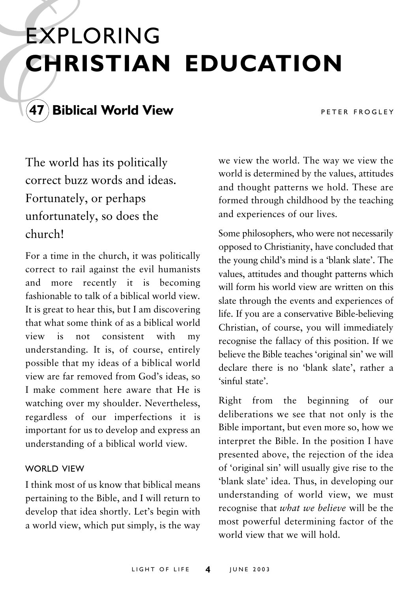# **EXPLORING CHRISTIAN EDUCATION**



PETER FROGLEY

The world has its politically correct buzz words and ideas. Fortunately, or perhaps unfortunately, so does the church!

For a time in the church, it was politically correct to rail against the evil humanists and more recently it is becoming fashionable to talk of a biblical world view It is great to hear this, but I am discovering that what some think of as a biblical world view is not consistent with  $m<sub>V</sub>$ understanding. It is, of course, entirely possible that my ideas of a biblical world view are far removed from God's ideas, so I make comment here aware that He is watching over my shoulder. Nevertheless, regardless of our imperfections it is important for us to develop and express an understanding of a biblical world view.

#### **WORLD VIEW**

I think most of us know that biblical means pertaining to the Bible, and I will return to develop that idea shortly. Let's begin with a world view, which put simply, is the way

we view the world. The way we view the world is determined by the values, attitudes and thought patterns we hold. These are formed through childhood by the teaching and experiences of our lives.

Some philosophers, who were not necessarily opposed to Christianity, have concluded that the young child's mind is a 'blank slate'. The values, attitudes and thought patterns which will form his world view are written on this slate through the events and experiences of life. If you are a conservative Bible-believing Christian, of course, you will immediately recognise the fallacy of this position. If we believe the Bible teaches 'original sin' we will declare there is no 'blank slate', rather a 'sinful state'

Right from the beginning of our deliberations we see that not only is the Bible important, but even more so, how we interpret the Bible. In the position I have presented above, the rejection of the idea of 'original sin' will usually give rise to the 'blank slate' idea. Thus, in developing our understanding of world view, we must recognise that what we believe will be the most powerful determining factor of the world view that we will hold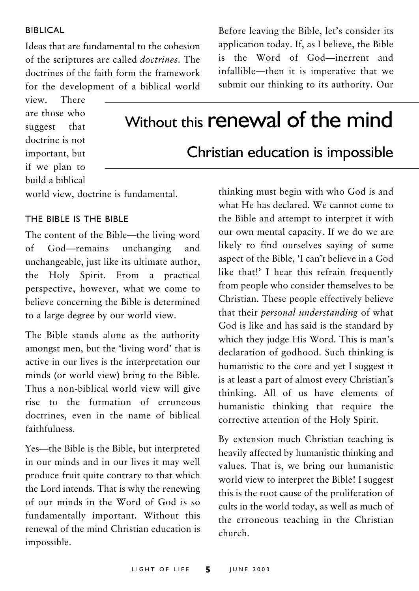#### **BIBLICAL**

Ideas that are fundamental to the cohesion of the scriptures are called *doctrines*. The doctrines of the faith form the framework for the development of a biblical world

view. There are those who suggest that doctrine is not important, but if we plan to build a biblical

Before leaving the Bible, let's consider its application today. If, as I believe, the Bible is the Word of God-inerrent and infallible—then it is imperative that we submit our thinking to its authority. Our

# Without this renewal of the mind

### Christian education is impossible

world view, doctrine is fundamental.

#### THE BIBLE IS THE BIBLE

The content of the Bible—the living word God-remains unchanging  $\alpha$ f and unchangeable, just like its ultimate author, the Holy Spirit. From a practical perspective, however, what we come to believe concerning the Bible is determined to a large degree by our world view.

The Bible stands alone as the authority amongst men, but the 'living word' that is active in our lives is the interpretation our minds (or world view) bring to the Bible. Thus a non-biblical world view will give rise to the formation of erroneous doctrines, even in the name of biblical faithfulness.

Yes—the Bible is the Bible, but interpreted in our minds and in our lives it may well produce fruit quite contrary to that which the Lord intends. That is why the renewing of our minds in the Word of God is so fundamentally important. Without this renewal of the mind Christian education is impossible.

thinking must begin with who God is and what He has declared. We cannot come to the Bible and attempt to interpret it with our own mental capacity. If we do we are likely to find ourselves saying of some aspect of the Bible, 'I can't believe in a God like that!' I hear this refrain frequently from people who consider themselves to be Christian. These people effectively believe that their *personal understanding* of what God is like and has said is the standard by which they judge His Word. This is man's declaration of godhood. Such thinking is humanistic to the core and yet I suggest it is at least a part of almost every Christian's thinking. All of us have elements of humanistic thinking that require the corrective attention of the Holy Spirit.

By extension much Christian teaching is heavily affected by humanistic thinking and values. That is, we bring our humanistic world view to interpret the Bible! I suggest this is the root cause of the proliferation of cults in the world today, as well as much of the erroneous teaching in the Christian church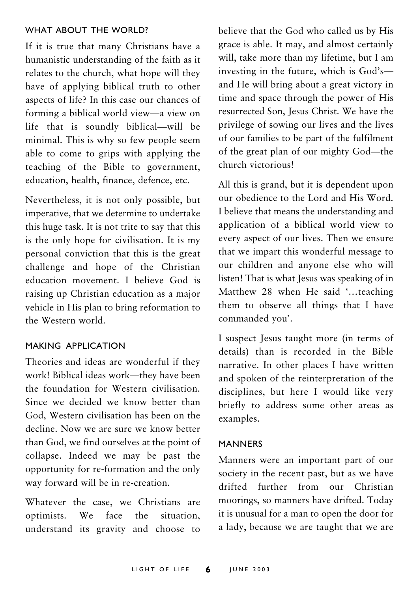#### WHAT AROUT THE WORLD?

If it is true that many Christians have a humanistic understanding of the faith as it relates to the church, what hope will they have of applying biblical truth to other aspects of life? In this case our chances of forming a biblical world view-a view on life that is soundly biblical-will be minimal. This is why so few people seem able to come to grips with applying the teaching of the Bible to government, education, health, finance, defence, etc.

Nevertheless, it is not only possible, but imperative, that we determine to undertake this huge task. It is not trite to say that this is the only hope for civilisation. It is my personal conviction that this is the great challenge and hope of the Christian education movement I believe God is raising up Christian education as a major vehicle in His plan to bring reformation to the Western world

#### MAKING APPLICATION

Theories and ideas are wonderful if they work! Biblical ideas work-they have been the foundation for Western civilisation. Since we decided we know better than God. Western civilisation has been on the decline. Now we are sure we know better than God, we find ourselves at the point of collapse. Indeed we may be past the opportunity for re-formation and the only way forward will be in re-creation.

Whatever the case, we Christians are We face the optimists. situation. understand its gravity and choose to believe that the God who called us by His grace is able. It may, and almost certainly will, take more than my lifetime, but I am investing in the future, which is God'sand He will bring about a great victory in time and space through the power of His resurrected Son, Jesus Christ. We have the privilege of sowing our lives and the lives of our families to be part of the fulfilment of the great plan of our mighty God-the church victorious!

All this is grand, but it is dependent upon our obedience to the Lord and His Word. I believe that means the understanding and application of a biblical world view to every aspect of our lives. Then we ensure that we impart this wonderful message to our children and anyone else who will listen! That is what Jesus was speaking of in Matthew 28 when He said '...teaching them to observe all things that I have commanded you'.

I suspect Jesus taught more (in terms of details) than is recorded in the Bible narrative. In other places I have written and spoken of the reinterpretation of the disciplines, but here I would like very briefly to address some other areas as examples.

#### **MANNERS**

Manners were an important part of our society in the recent past, but as we have drifted further from our Christian moorings, so manners have drifted. Todav it is unusual for a man to open the door for a lady, because we are taught that we are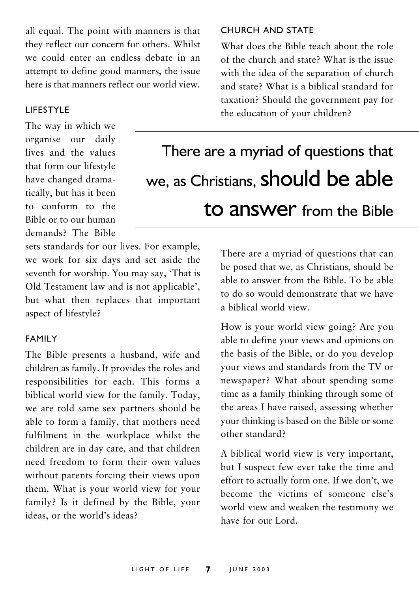all equal. The point with manners is that they reflect our concern for others. Whilst we could enter an endless debate in an attempt to define good manners, the issue here is that manners reflect our world view.

#### **LIFESTYLE**

The way in which we organise our daily lives and the values that form our lifestyle have changed dramatically, but has it been to conform to the Bible or to our human demands? The Bible CHURCH AND STATE

What does the Bible teach about the role of the church and state? What is the issue with the idea of the separation of church and state? What is a biblical standard for taxation? Should the government pay for the education of your children?

# There are a myriad of questions that we, as Christians, **Should be able** to answer from the Bible

sets standards for our lives. For example, we work for six days and set aside the seventh for worship. You may say, 'That is Old Testament law and is not applicable', but what then replaces that important aspect of lifestyle?

#### **FAMILY**

The Bible presents a husband, wife and children as family. It provides the roles and responsibilities for each. This forms a biblical world view for the family. Today, we are told same sex partners should be able to form a family, that mothers need fulfilment in the workplace whilst the children are in day care, and that children need freedom to form their own values without parents forcing their views upon them. What is your world view for your family? Is it defined by the Bible, your ideas, or the world's ideas?

There are a myriad of questions that can be posed that we, as Christians, should be able to answer from the Bible. To be able to do so would demonstrate that we have a biblical world view

How is your world view going? Are you able to define your views and opinions on the basis of the Bible, or do you develop your views and standards from the TV or newspaper? What about spending some time as a family thinking through some of the areas I have raised, assessing whether your thinking is based on the Bible or some other standard?

A biblical world view is very important, but I suspect few ever take the time and effort to actually form one. If we don't, we become the victims of someone else's world view and weaken the testimony we have for our Lord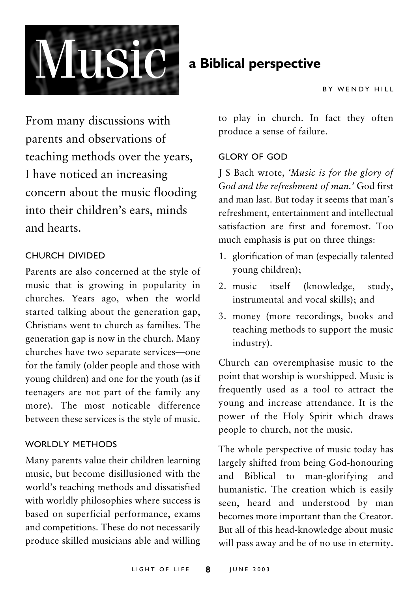

## a Biblical perspective

From many discussions with parents and observations of teaching methods over the years, I have noticed an increasing concern about the music flooding into their children's ears, minds and hearts

#### **CHURCH DIVIDED**

Parents are also concerned at the style of music that is growing in popularity in churches. Years ago, when the world started talking about the generation gap, Christians went to church as families. The generation gap is now in the church. Many churches have two separate services-one for the family (older people and those with young children) and one for the youth (as if teenagers are not part of the family any more). The most noticable difference between these services is the style of music.

#### WORLDLY METHODS

Many parents value their children learning music, but become disillusioned with the world's teaching methods and dissatisfied with worldly philosophies where success is based on superficial performance, exams and competitions. These do not necessarily produce skilled musicians able and willing

to play in church. In fact they often produce a sense of failure.

#### **GLORY OF GOD**

I S Bach wrote, 'Music is for the glory of God and the refreshment of man.' God first and man last. But today it seems that man's refreshment entertainment and intellectual satisfaction are first and foremost Too much emphasis is put on three things:

- 1. glorification of man (especially talented young children);
- 2. music itself (knowledge, study, instrumental and vocal skills); and
- 3. money (more recordings, books and teaching methods to support the music industry).

Church can overemphasise music to the point that worship is worshipped. Music is frequently used as a tool to attract the young and increase attendance. It is the power of the Holy Spirit which draws people to church, not the music.

The whole perspective of music today has largely shifted from being God-honouring and Biblical to man-glorifying and humanistic. The creation which is easily seen, heard and understood by man becomes more important than the Creator. But all of this head-knowledge about music will pass away and be of no use in eternity.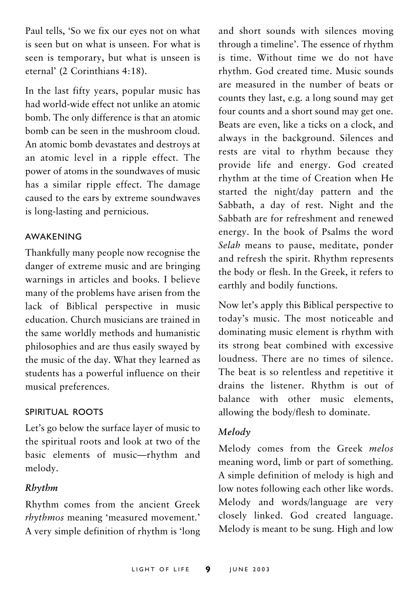Paul tells, 'So we fix our eyes not on what is seen but on what is unseen. For what is seen is temporary, but what is unseen is eternal' (2 Corinthians 4:18).

In the last fifty years, popular music has had world-wide effect not unlike an atomic bomb. The only difference is that an atomic bomb can be seen in the mushroom cloud An atomic bomb devastates and destroys at an atomic level in a ripple effect. The power of atoms in the soundwaves of music has a similar ripple effect. The damage caused to the ears by extreme soundwaves is long-lasting and pernicious.

#### **AWAKFNING**

Thankfully many people now recognise the danger of extreme music and are bringing warnings in articles and books. I believe many of the problems have arisen from the lack of Biblical perspective in music education. Church musicians are trained in the same worldly methods and humanistic philosophies and are thus easily swayed by the music of the day. What they learned as students has a powerful influence on their musical preferences.

#### SPIRITUAL ROOTS

Let's go below the surface layer of music to the spiritual roots and look at two of the basic elements of music-rhythm and melody.

#### Rhythm

Rhythm comes from the ancient Greek rhythmos meaning 'measured movement.' A very simple definition of rhythm is 'long and short sounds with silences moving through a timeline'. The essence of rhythm is time. Without time we do not have rhythm. God created time. Music sounds are measured in the number of beats or counts they last, e.g. a long sound may get four counts and a short sound may get one. Beats are even, like a ticks on a clock, and always in the background. Silences and rests are vital to rhythm because they provide life and energy. God created rhythm at the time of Creation when He started the night/day pattern and the Sabbath, a day of rest. Night and the Sabbath are for refreshment and renewed energy. In the book of Psalms the word Selah means to pause, meditate, ponder and refresh the spirit. Rhythm represents the body or flesh. In the Greek, it refers to earthly and bodily functions.

Now let's apply this Biblical perspective to today's music. The most noticeable and dominating music element is rhythm with its strong beat combined with excessive loudness. There are no times of silence The beat is so relentless and repetitive it drains the listener. Rhythm is out of halance with other music elements, allowing the body/flesh to dominate.

#### Melody

Melody comes from the Greek melos meaning word, limb or part of something. A simple definition of melody is high and low notes following each other like words. Melody and words/language are very closely linked. God created language. Melody is meant to be sung. High and low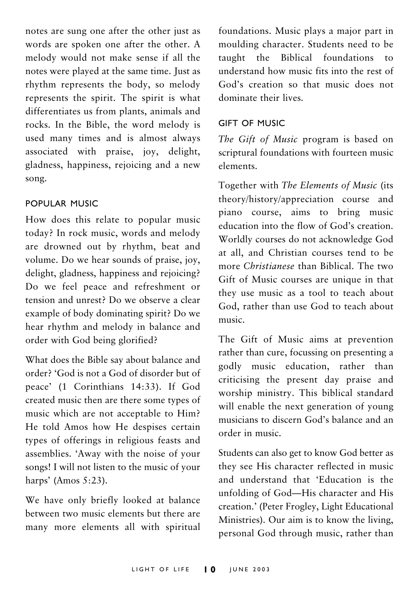notes are sung one after the other just as words are spoken one after the other. A melody would not make sense if all the notes were played at the same time. Just as rhythm represents the body, so melody represents the spirit. The spirit is what differentiates us from plants, animals and rocks. In the Bible, the word melody is used many times and is almost always associated with praise, joy, delight, gladness, happiness, rejoicing and a new song.

#### POPULAR MUSIC

How does this relate to popular music today? In rock music, words and melody are drowned out by rhythm, beat and volume. Do we hear sounds of praise, joy, delight, gladness, happiness and rejoicing? Do we feel peace and refreshment or tension and unrest? Do we observe a clear example of body dominating spirit? Do we hear rhythm and melody in balance and order with God being glorified?

What does the Bible say about balance and order? 'God is not a God of disorder but of peace' (1 Corinthians 14:33). If God created music then are there some types of music which are not acceptable to Him? He told Amos how He despises certain types of offerings in religious feasts and assemblies. 'Away with the noise of your songs! I will not listen to the music of your harps' (Amos 5:23).

We have only briefly looked at balance between two music elements but there are many more elements all with spiritual foundations. Music plays a major part in moulding character. Students need to be taught the Biblical foundations to understand how music fits into the rest of God's creation so that music does not dominate their lives.

#### GIFT OF MUSIC

The Gift of Music program is based on scriptural foundations with fourteen music elements

Together with The Elements of Music (its theory/history/appreciation course and piano course, aims to bring music education into the flow of God's creation. Worldly courses do not acknowledge God at all, and Christian courses tend to be more Christianese than Biblical. The two Gift of Music courses are unique in that they use music as a tool to teach about God, rather than use God to teach about music

The Gift of Music aims at prevention rather than cure, focussing on presenting a godly music education, rather than criticising the present day praise and worship ministry. This biblical standard will enable the next generation of young musicians to discern God's balance and an order in music

Students can also get to know God better as they see His character reflected in music and understand that 'Education is the unfolding of God-His character and His creation.' (Peter Frogley, Light Educational Ministries). Our aim is to know the living, personal God through music, rather than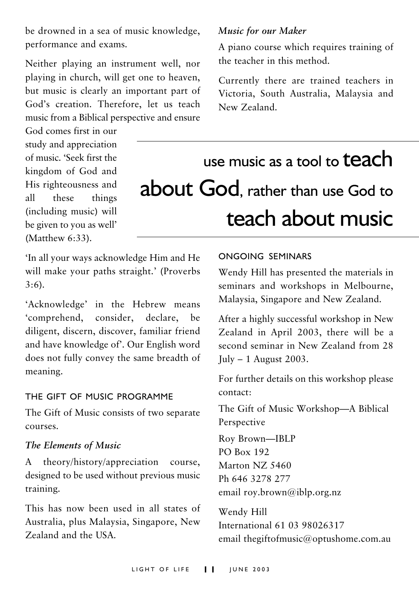be drowned in a sea of music knowledge, performance and exams.

Neither playing an instrument well, nor playing in church, will get one to heaven, but music is clearly an important part of God's creation. Therefore, let us teach music from a Biblical perspective and ensure

God comes first in our study and appreciation of music 'Seek first the kingdom of God and His righteousness and  $a11$ these things (including music) will be given to you as well' (Matthew 6:33).

#### Music for our Maker

A piano course which requires training of the teacher in this method

Currently there are trained teachers in Victoria, South Australia, Malaysia and New Zealand

use music as a tool to **teach** about God, rather than use God to teach about music

'In all your ways acknowledge Him and He will make your paths straight.' (Proverbs  $3:6$ ).

'Acknowledge' in the Hebrew means 'comprehend, consider, declare. be diligent, discern, discover, familiar friend and have knowledge of'. Our English word does not fully convey the same breadth of meaning.

#### THE GIFT OF MUSIC PROGRAMME

The Gift of Music consists of two separate courses.

#### The Elements of Music

theory/history/appreciation A course. designed to be used without previous music training.

This has now been used in all states of Australia, plus Malaysia, Singapore, New Zealand and the IISA

#### ONGOING SEMINARS

Wendy Hill has presented the materials in seminars and workshops in Melbourne, Malaysia, Singapore and New Zealand.

After a highly successful workshop in New Zealand in April 2003, there will be a second seminar in New Zealand from 28  $\text{July} - 1$  August 2003.

For further details on this workshop please contact<sup>.</sup>

The Gift of Music Workshop-A Biblical Perspective

Roy Brown-IBLP **PO Box 192** Marton NZ 5460 Ph 646 3278 277 email roy.brown@iblp.org.nz

Wendy Hill International 61 03 98026317 email thegiftofmusic@optushome.com.au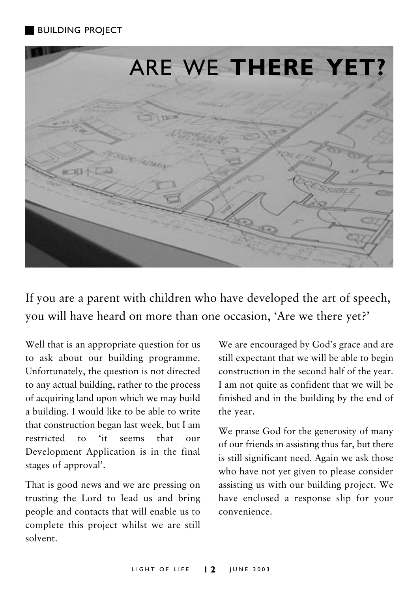#### **BUILDING PROJECT**



If you are a parent with children who have developed the art of speech, you will have heard on more than one occasion, 'Are we there yet?'

Well that is an appropriate question for us to ask about our building programme. Unfortunately, the question is not directed to any actual building, rather to the process of acquiring land upon which we may build a building. I would like to be able to write that construction began last week, but I am restricted  $\overline{f}$  $\mathbf{f}$   $\mathbf{f}$   $\mathbf{f}$ that  $_{\text{OII}}$ r Development Application is in the final stages of approval'.

That is good news and we are pressing on trusting the Lord to lead us and bring people and contacts that will enable us to complete this project whilst we are still solvent

We are encouraged by God's grace and are still expectant that we will be able to begin construction in the second half of the year. I am not quite as confident that we will be finished and in the building by the end of the year.

We praise God for the generosity of many of our friends in assisting thus far, but there is still significant need. Again we ask those who have not yet given to please consider assisting us with our building project. We have enclosed a response slip for your convenience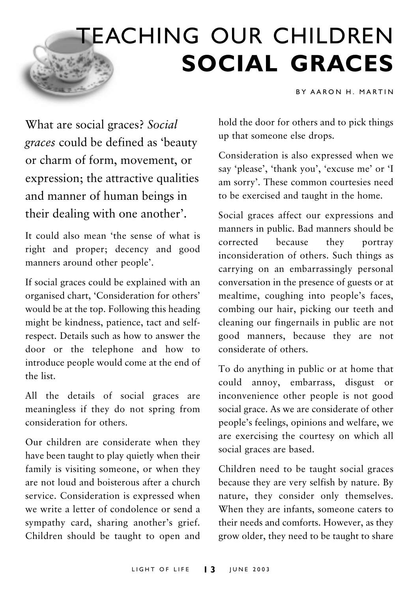# **TEACHING OUR CHILDREN SOCIAL GRACES**

BY AARON H. MARTIN

What are social graces? Social graces could be defined as 'beauty or charm of form, movement, or expression; the attractive qualities and manner of human beings in their dealing with one another'.

It could also mean 'the sense of what is right and proper; decency and good manners around other people'.

If social graces could be explained with an organised chart, 'Consideration for others' would be at the top. Following this heading might be kindness, patience, tact and selfrespect. Details such as how to answer the door or the telephone and how to introduce people would come at the end of the list.

All the details of social graces are meaningless if they do not spring from consideration for others.

Our children are considerate when they have been taught to play quietly when their family is visiting someone, or when they are not loud and boisterous after a church service. Consideration is expressed when we write a letter of condolence or send a sympathy card, sharing another's grief. Children should be taught to open and hold the door for others and to pick things up that someone else drops.

Consideration is also expressed when we say 'please', 'thank you', 'excuse me' or 'I am sorry'. These common courtesies need to be exercised and taught in the home.

Social graces affect our expressions and manners in public. Bad manners should be corrected hecause they portray inconsideration of others. Such things as carrying on an embarrassingly personal conversation in the presence of guests or at mealtime, coughing into people's faces, combing our hair, picking our teeth and cleaning our fingernails in public are not good manners, because they are not considerate of others.

To do anything in public or at home that could annoy, embarrass, disgust or inconvenience other people is not good social grace. As we are considerate of other people's feelings, opinions and welfare, we are exercising the courtesy on which all social graces are based.

Children need to be taught social graces because they are very selfish by nature. By nature, they consider only themselves. When they are infants, someone caters to their needs and comforts. However, as they grow older, they need to be taught to share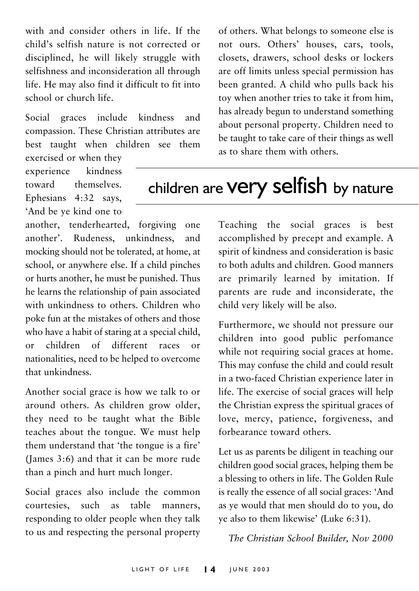with and consider others in life. If the child's selfish nature is not corrected or disciplined, he will likely struggle with selfishness and inconsideration all through life. He may also find it difficult to fit into school or church life

Social graces include kindness and compassion. These Christian attributes are best taught when children see them exercised or when they

experience kindness toward themselves Ephesians 4:32 says. 'And be ye kind one to

another, tenderhearted, forgiving one another'. Rudeness, unkindness, and mocking should not be tolerated, at home, at school, or anywhere else. If a child pinches or hurts another, he must be punished. Thus he learns the relationship of pain associated with unkindness to others. Children who poke fun at the mistakes of others and those who have a habit of staring at a special child, children of different races or  $\alpha$ r nationalities, need to be helped to overcome that unkindness

Another social grace is how we talk to or around others. As children grow older, they need to be taught what the Bible teaches about the tongue. We must help them understand that 'the tongue is a fire' (James 3:6) and that it can be more rude than a pinch and hurt much longer.

Social graces also include the common courtesies, such as table manners. responding to older people when they talk to us and respecting the personal property of others. What belongs to someone else is not ours. Others' houses, cars, tools, closets, drawers, school desks or lockers are off limits unless special permission has been granted. A child who pulls back his toy when another tries to take it from him. has already begun to understand something about personal property. Children need to be taught to take care of their things as well as to share them with others.

# children are very selfish by nature

Teaching the social graces is best accomplished by precept and example. A spirit of kindness and consideration is basic to both adults and children. Good manners are primarily learned by imitation. If parents are rude and inconsiderate, the child very likely will be also.

Furthermore, we should not pressure our children into good public perfomance while not requiring social graces at home. This may confuse the child and could result in a two-faced Christian experience later in life. The exercise of social graces will help the Christian express the spiritual graces of love, mercy, patience, forgiveness, and forbearance toward others.

Let us as parents be diligent in teaching our children good social graces, helping them be a blessing to others in life. The Golden Rule is really the essence of all social graces: 'And as ye would that men should do to you, do ye also to them likewise' (Luke 6:31).

The Christian School Builder, Nov 2000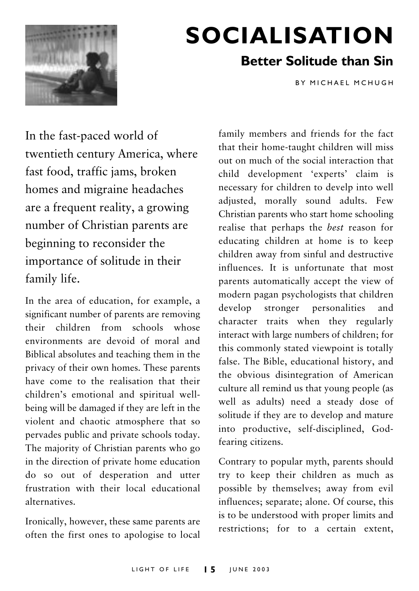

# **SOCIALISATION**

## **Better Solitude than Sin**

**BY MICHAFI MCHUGH** 

In the fast-paced world of twentieth century America, where fast food, traffic jams, broken homes and migraine headaches are a frequent reality, a growing number of Christian parents are beginning to reconsider the importance of solitude in their family life.

In the area of education, for example, a significant number of parents are removing their children from schools whose environments are devoid of moral and Biblical absolutes and teaching them in the privacy of their own homes. These parents have come to the realisation that their children's emotional and spiritual wellbeing will be damaged if they are left in the violent and chaotic atmosphere that so pervades public and private schools today. The majority of Christian parents who go in the direction of private home education do so out of desperation and utter frustration with their local educational alternatives

Ironically, however, these same parents are often the first ones to apologise to local

family members and friends for the fact that their home-taught children will miss out on much of the social interaction that child development 'experts' claim is necessary for children to develp into well adjusted, morally sound adults. Few Christian parents who start home schooling realise that perhaps the best reason for educating children at home is to keep children away from sinful and destructive influences. It is unfortunate that most parents automatically accept the view of modern pagan psychologists that children stronger personalities develop and character traits when they regularly interact with large numbers of children; for this commonly stated viewpoint is totally false. The Bible, educational history, and the obvious disintegration of American culture all remind us that young people (as well as adults) need a steady dose of solitude if they are to develop and mature into productive, self-disciplined, Godfearing citizens.

Contrary to popular myth, parents should try to keep their children as much as possible by themselves; away from evil influences; separate; alone. Of course, this is to be understood with proper limits and restrictions; for to a certain extent,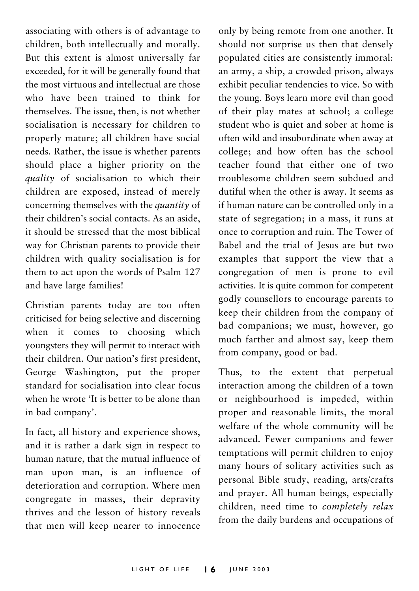associating with others is of advantage to children, both intellectually and morally. But this extent is almost universally far exceeded, for it will be generally found that the most virtuous and intellectual are those who have been trained to think for themselves. The issue, then, is not whether socialisation is necessary for children to properly mature; all children have social needs. Rather, the issue is whether parents should place a higher priority on the *auality* of socialisation to which their children are exposed, instead of merely concerning themselves with the *quantity* of their children's social contacts. As an aside, it should be stressed that the most biblical way for Christian parents to provide their children with quality socialisation is for them to act upon the words of Psalm 127 and have large families!

Christian parents today are too often criticised for being selective and discerning when it comes to choosing which youngsters they will permit to interact with their children. Our nation's first president. George Washington, put the proper standard for socialisation into clear focus when he wrote 'It is better to be alone than in bad company'.

In fact, all history and experience shows, and it is rather a dark sign in respect to human nature, that the mutual influence of man upon man, is an influence of deterioration and corruption. Where men congregate in masses, their depravity thrives and the lesson of history reveals that men will keep nearer to innocence

only by being remote from one another. It should not surprise us then that densely populated cities are consistently immoral: an army, a ship, a crowded prison, always exhibit peculiar tendencies to vice. So with the young. Boys learn more evil than good of their play mates at school; a college student who is quiet and sober at home is often wild and insubordinate when away at college; and how often has the school teacher found that either one of two troublesome children seem subdued and dutiful when the other is away. It seems as if human nature can be controlled only in a state of segregation; in a mass, it runs at once to corruption and ruin. The Tower of Babel and the trial of Jesus are but two examples that support the view that a congregation of men is prone to evil activities. It is quite common for competent godly counsellors to encourage parents to keep their children from the company of bad companions; we must, however, go much farther and almost say, keep them from company, good or bad.

Thus, to the extent that perpetual interaction among the children of a town or neighbourhood is impeded, within proper and reasonable limits, the moral welfare of the whole community will be advanced. Fewer companions and fewer temptations will permit children to enjoy many hours of solitary activities such as personal Bible study, reading, arts/crafts and prayer. All human beings, especially children, need time to completely relax from the daily burdens and occupations of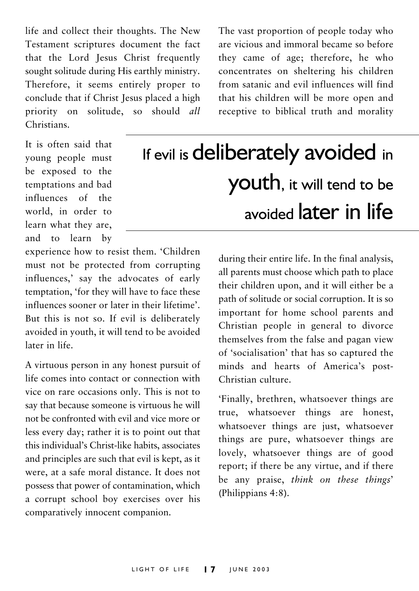life and collect their thoughts. The New Testament scriptures document the fact that the Lord Jesus Christ frequently sought solitude during His earthly ministry. Therefore, it seems entirely proper to conclude that if Christ Jesus placed a high priority on solitude, so should all Christians

The vast proportion of people today who are vicious and immoral became so before they came of age: therefore, he who concentrates on sheltering his children from satanic and evil influences will find that his children will be more open and receptive to biblical truth and morality

It is often said that young people must be exposed to the temptations and bad influences of the world in order to learn what they are, and to learn by

If evil is deliberately avoided in youth, it will tend to be avoided **later** in life

experience how to resist them. 'Children must not be protected from corrupting influences,' say the advocates of early temptation. 'for they will have to face these influences sooner or later in their lifetime' But this is not so. If evil is deliberately avoided in youth, it will tend to be avoided later in life

A virtuous person in any honest pursuit of life comes into contact or connection with vice on rare occasions only. This is not to say that because someone is virtuous he will not be confronted with evil and vice more or less every day; rather it is to point out that this individual's Christ-like habits, associates and principles are such that evil is kept, as it were, at a safe moral distance. It does not possess that power of contamination, which a corrupt school boy exercises over his comparatively innocent companion.

during their entire life. In the final analysis, all parents must choose which path to place their children upon, and it will either be a path of solitude or social corruption. It is so important for home school parents and Christian people in general to divorce themselves from the false and pagan view of 'socialisation' that has so captured the minds and hearts of America's post-Christian culture

'Finally, brethren, whatsoever things are true, whatsoever things are honest, whatsoever things are just, whatsoever things are pure, whatsoever things are lovely, whatsoever things are of good report; if there be any virtue, and if there be any praise, think on these things' (Philippians 4:8).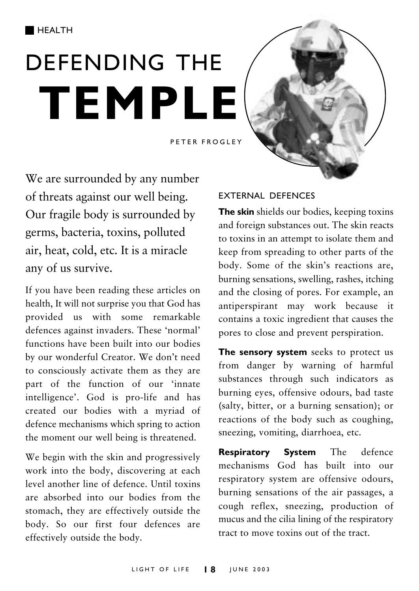# **DEFENDING THE TEMPLE**



PETER FROGLEY

We are surrounded by any number of threats against our well being. Our fragile body is surrounded by germs, bacteria, toxins, polluted air, heat, cold, etc. It is a miracle any of us survive.

If you have been reading these articles on health, It will not surprise you that God has provided us with some remarkable defences against invaders. These 'normal' functions have been built into our bodies by our wonderful Creator. We don't need to consciously activate them as they are part of the function of our 'innate intelligence'. God is pro-life and has created our bodies with a myriad of defence mechanisms which spring to action the moment our well being is threatened.

We begin with the skin and progressively work into the body, discovering at each level another line of defence. Until toxins are absorbed into our bodies from the stomach, they are effectively outside the body. So our first four defences are effectively outside the body.

#### **FXTERNAL DEFENCES**

The skin shields our bodies, keeping toxins and foreign substances out. The skin reacts to toxins in an attempt to isolate them and keep from spreading to other parts of the body. Some of the skin's reactions are. burning sensations, swelling, rashes, itching and the closing of pores. For example, an antiperspirant may work because it contains a toxic ingredient that causes the pores to close and prevent perspiration.

The sensory system seeks to protect us from danger by warning of harmful substances through such indicators as burning eyes, offensive odours, bad taste (salty, bitter, or a burning sensation); or reactions of the body such as coughing, sneezing, vomiting, diarrhoea, etc.

Respiratory **System** The defence mechanisms God has built into our respiratory system are offensive odours. burning sensations of the air passages, a cough reflex, sneezing, production of mucus and the cilia lining of the respiratory tract to move toxins out of the tract.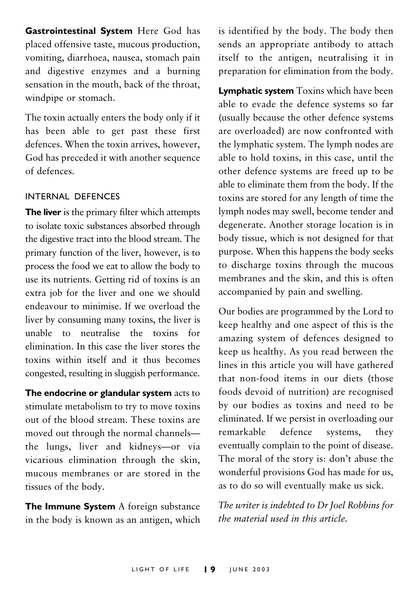Gastrointestinal System Here God has placed offensive taste, mucous production, vomiting, diarrhoea, nausea, stomach pain and digestive enzymes and a burning sensation in the mouth, back of the throat, windpipe or stomach.

The toxin actually enters the body only if it has been able to get past these first defences. When the toxin arrives, however, God has preceded it with another sequence of defences

#### INTERNAL DEFENCES

The liver is the primary filter which attempts to isolate toxic substances absorbed through the digestive tract into the blood stream. The primary function of the liver, however, is to process the food we eat to allow the body to use its nutrients. Getting rid of toxins is an extra job for the liver and one we should endeavour to minimise. If we overload the liver by consuming many toxins, the liver is unable to neutralise the toxins for elimination. In this case the liver stores the toxins within itself and it thus becomes congested, resulting in sluggish performance.

The endocrine or glandular system acts to stimulate metabolism to try to move toxins out of the blood stream. These toxins are moved out through the normal channelsthe lungs, liver and kidneys-or via vicarious elimination through the skin. mucous membranes or are stored in the tissues of the body.

The Immune System A foreign substance in the body is known as an antigen, which is identified by the body. The body then sends an appropriate antibody to attach itself to the antigen, neutralising it in preparation for elimination from the body.

**Lymphatic system** Toxins which have been able to evade the defence systems so far (usually because the other defence systems) are overloaded) are now confronted with the lymphatic system. The lymph nodes are able to hold toxins, in this case, until the other defence systems are freed up to be able to eliminate them from the body. If the toxins are stored for any length of time the lymph nodes may swell, become tender and degenerate. Another storage location is in body tissue, which is not designed for that purpose. When this happens the body seeks to discharge toxins through the mucous membranes and the skin, and this is often accompanied by pain and swelling.

Our bodies are programmed by the Lord to keep healthy and one aspect of this is the amazing system of defences designed to keep us healthy. As you read between the lines in this article you will have gathered that non-food items in our diets (those foods devoid of nutrition) are recognised by our bodies as toxins and need to be eliminated. If we persist in overloading our remarkable defence systems, they eventually complain to the point of disease. The moral of the story is: don't abuse the wonderful provisions God has made for us, as to do so will eventually make us sick.

The writer is indebted to Dr Joel Robbins for the material used in this article.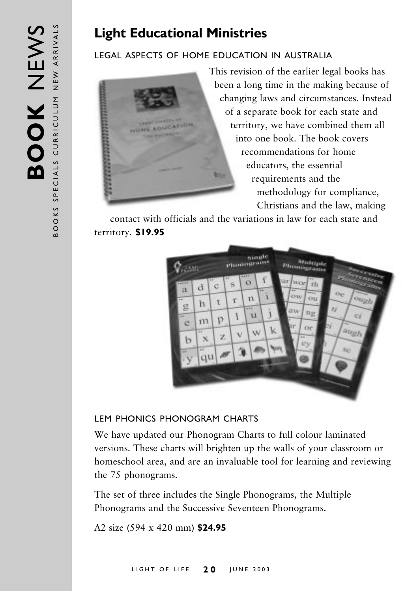## **Light Educational Ministries**

#### LEGAL ASPECTS OF HOME EDUCATION IN AUSTRALIA



This revision of the earlier legal books has been a long time in the making because of changing laws and circumstances. Instead of a separate book for each state and territory, we have combined them all into one book. The book covers recommendations for home educators, the essential requirements and the methodology for compliance, Christians and the law, making

contact with officials and the variations in law for each state and territory. \$19.95



#### LEM PHONICS PHONOGRAM CHARTS

We have updated our Phonogram Charts to full colour laminated versions. These charts will brighten up the walls of your classroom or homeschool area, and are an invaluable tool for learning and reviewing the 75 phonograms.

The set of three includes the Single Phonograms, the Multiple Phonograms and the Successive Seventeen Phonograms.

A2 size (594 x 420 mm) \$24.95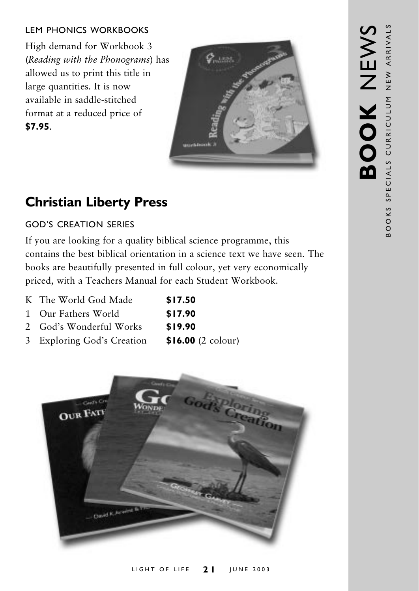#### LEM PHONICS WORKBOOKS

High demand for Workbook 3 (Reading with the Phonograms) has allowed us to print this title in large quantities. It is now available in saddle-stitched format at a reduced price of **\$7.95**



## **Christian Liberty Press**

#### GOD'S CREATION SERIES

If you are looking for a quality biblical science programme, this contains the best biblical orientation in a science text we have seen. The books are beautifully presented in full colour, yet very economically priced, with a Teachers Manual for each Student Workbook.

- K The World God Made **\$17.50**
- 1 Our Fathers Wor **\$17.90**
- 2 God's Wonderful Wor **\$19.90**
- 3 Exploring God's Cr eation **\$16.00** (2 colour)

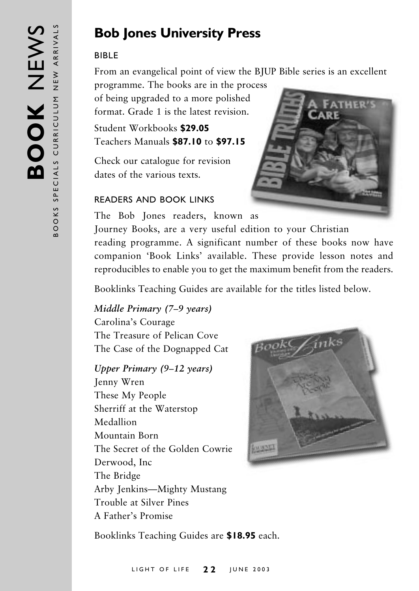## **Bob Jones University Press**

#### **RIRI F**

From an evangelical point of view the BJUP Bible series is an excellent

programme. The books are in the process of being upgraded to a more polished format. Grade 1 is the latest revision.

Student Workbooks \$29.05 Teachers Manuals \$87.10 to \$97.15

Check our catalogue for revision dates of the various texts.

#### **READERS AND BOOK LINKS**



The Bob Jones readers, known as

Journey Books, are a very useful edition to your Christian reading programme. A significant number of these books now have companion 'Book Links' available. These provide lesson notes and reproducibles to enable you to get the maximum benefit from the readers.

Booklinks Teaching Guides are available for the titles listed below.

Middle Primary (7–9 years) Carolina's Courage The Treasure of Pelican Cove The Case of the Dognapped Cat

Upper Primary  $(9-12 \text{ years})$ 

Jenny Wren These My People Sherriff at the Waterstop Medallion Mountain Born The Secret of the Golden Cowrie Derwood, Inc. The Bridge Arby Jenkins-Mighty Mustang Trouble at Silver Pines A Father's Promise



Booklinks Teaching Guides are \$18.95 each.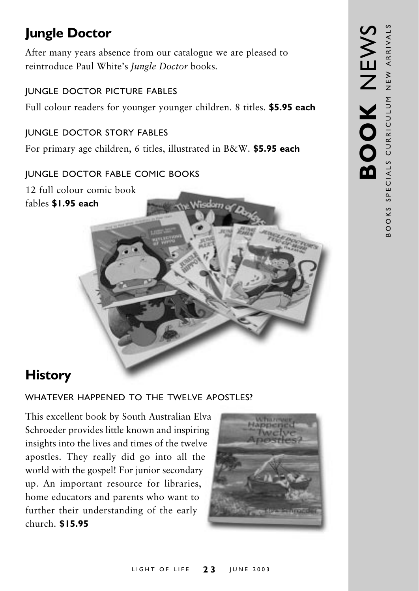# **Jungle Doctor**

After many years absence from our catalogue we are pleased to reintroduce Paul White's Jungle Doctor books.

#### JUNGLE DOCTOR PICTURE FABLES

Full colour readers for younger younger children. 8 titles. \$5.95 each

#### JUNGLE DOCTOR STORY FABLES

For primary age children, 6 titles, illustrated in B&W. **\$5.95 each** 

#### JUNGLE DOCTOR FABLE COMIC BOOKS

12 full colour comic book **\$1.95 each**



# **History**

#### WHATEVER HAPPENED TO THE TWELVE APOSTLES?

This excellent book by South Australian Elva Schroeder provides little known and inspiring insights into the lives and times of the twelve apostles. They really did go into all the world with the gospel! For junior secondary up. An important resource for libraries, home educators and parents who want to further their understanding of the early - **\$15.95**

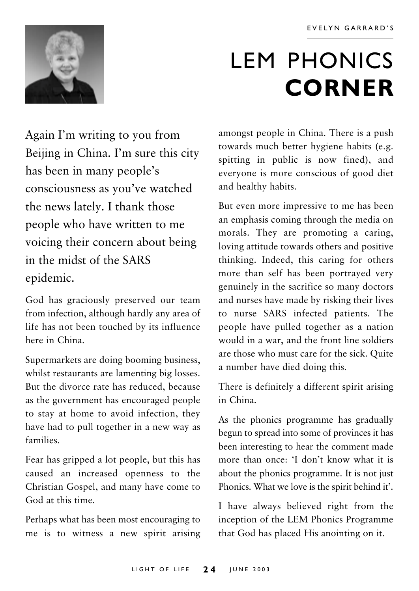

# **LEM PHONICS CORNER**

Again I'm writing to you from Beijing in China. I'm sure this city has been in many people's consciousness as you've watched the news lately. I thank those people who have written to me voicing their concern about being in the midst of the SARS epidemic.

God has graciously preserved our team from infection, although hardly any area of life has not been touched by its influence here in China

Supermarkets are doing booming business, whilst restaurants are lamenting big losses. But the divorce rate has reduced, because as the government has encouraged people to stay at home to avoid infection, they have had to pull together in a new way as families

Fear has gripped a lot people, but this has caused an increased openness to the Christian Gospel, and many have come to God at this time.

Perhaps what has been most encouraging to me is to witness a new spirit arising amongst people in China. There is a push towards much better hygiene habits (e.g. spitting in public is now fined), and everyone is more conscious of good diet and healthy habits.

But even more impressive to me has been an emphasis coming through the media on morals. They are promoting a caring, loving attitude towards others and positive thinking. Indeed, this caring for others more than self has been portrayed very genuinely in the sacrifice so many doctors and nurses have made by risking their lives to nurse SARS infected patients. The people have pulled together as a nation would in a war, and the front line soldiers are those who must care for the sick. Ouite a number have died doing this.

There is definitely a different spirit arising in China.

As the phonics programme has gradually begun to spread into some of provinces it has been interesting to hear the comment made more than once: 'I don't know what it is about the phonics programme. It is not just Phonics. What we love is the spirit behind it'.

I have always believed right from the inception of the LEM Phonics Programme that God has placed His anointing on it.